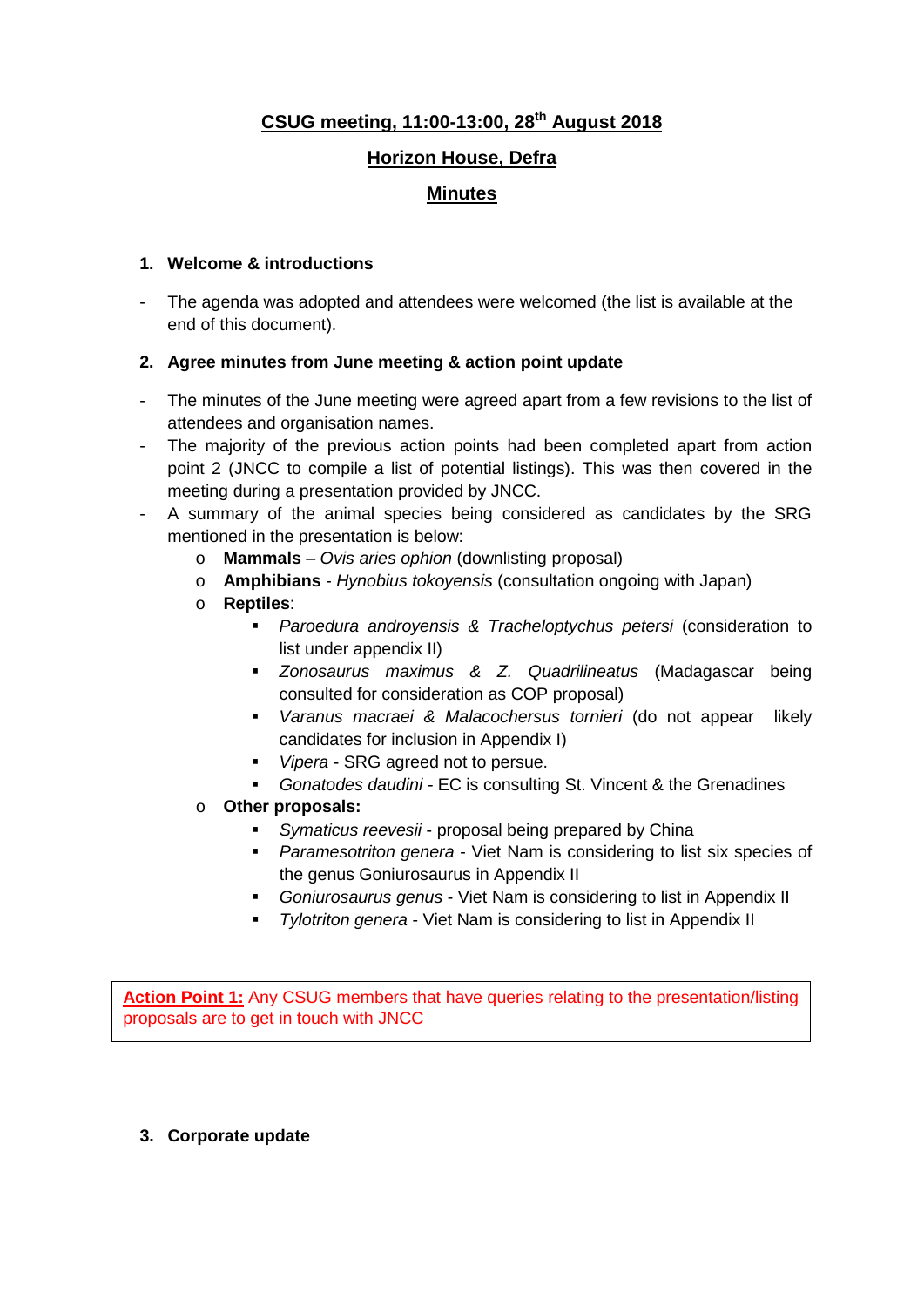# **CSUG meeting, 11:00-13:00, 28th August 2018**

# **Horizon House, Defra**

## **Minutes**

#### **1. Welcome & introductions**

The agenda was adopted and attendees were welcomed (the list is available at the end of this document).

#### **2. Agree minutes from June meeting & action point update**

- The minutes of the June meeting were agreed apart from a few revisions to the list of attendees and organisation names.
- The majority of the previous action points had been completed apart from action point 2 (JNCC to compile a list of potential listings). This was then covered in the meeting during a presentation provided by JNCC.
- A summary of the animal species being considered as candidates by the SRG mentioned in the presentation is below:
	- o **Mammals** *Ovis aries ophion* (downlisting proposal)
	- o **Amphibians** *Hynobius tokoyensis* (consultation ongoing with Japan)
	- o **Reptiles**:
		- *Paroedura androyensis & Tracheloptychus petersi* (consideration to list under appendix II)
		- *Zonosaurus maximus & Z. Quadrilineatus* (Madagascar being consulted for consideration as COP proposal)
		- *Varanus macraei & Malacochersus tornieri* (do not appear likely candidates for inclusion in Appendix I)
		- *Vipera* SRG agreed not to persue.
		- *Gonatodes daudini -* EC is consulting St. Vincent & the Grenadines
	- o **Other proposals:**
		- *Symaticus reevesii* proposal being prepared by China
		- *Paramesotriton genera* Viet Nam is considering to list six species of the genus Goniurosaurus in Appendix II
		- *Goniurosaurus genus* Viet Nam is considering to list in Appendix II
		- *Tylotriton genera* Viet Nam is considering to list in Appendix II

**Action Point 1:** Any CSUG members that have queries relating to the presentation/listing proposals are to get in touch with JNCC

**3. Corporate update**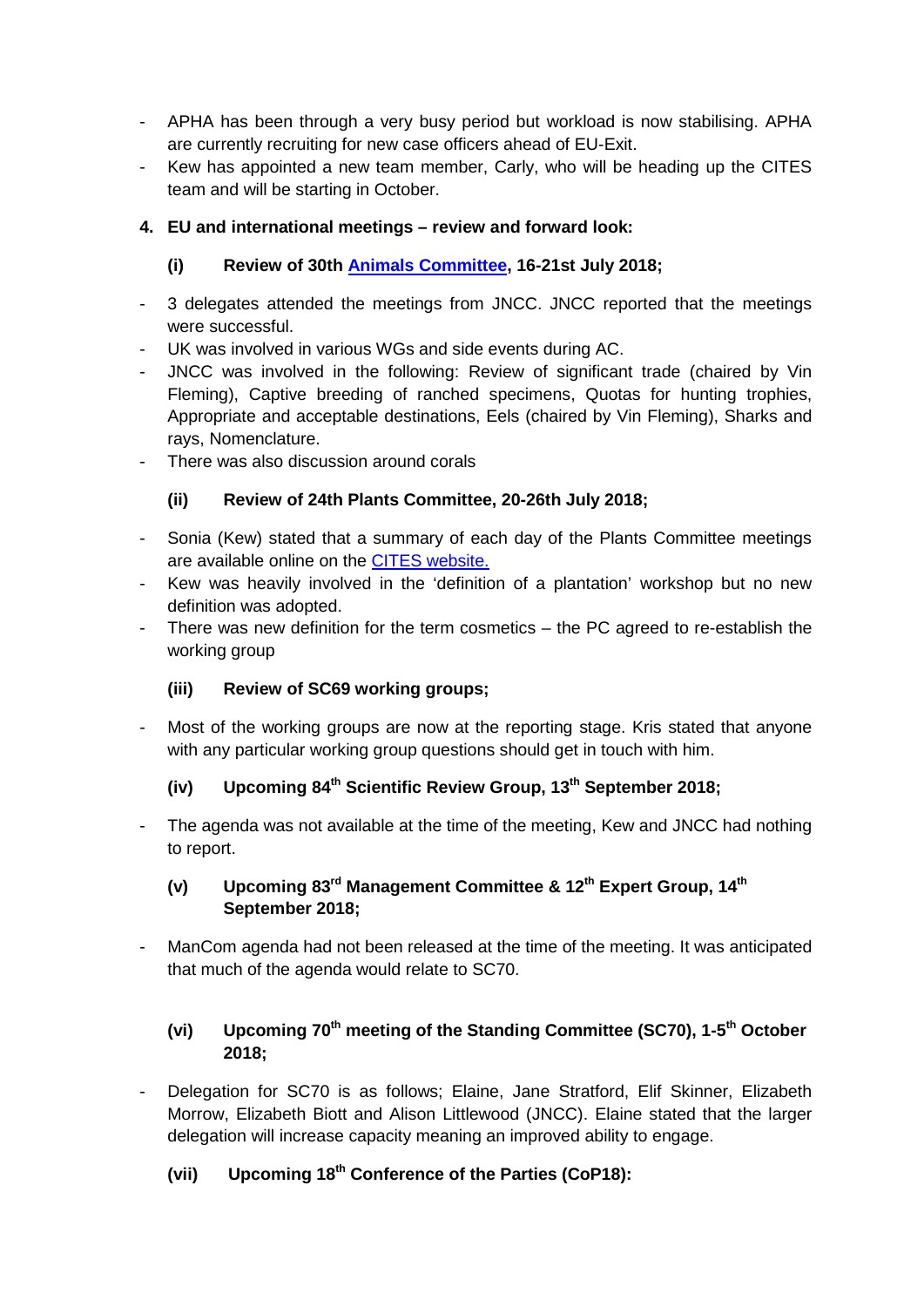- APHA has been through a very busy period but workload is now stabilising. APHA are currently recruiting for new case officers ahead of EU-Exit.
- Kew has appointed a new team member, Carly, who will be heading up the CITES team and will be starting in October.

### **4. EU and international meetings – review and forward look:**

### **(i) Review of 30th [Animals Committee,](https://cites.org/eng/com/ac/30/sum/index.php) 16-21st July 2018;**

- 3 delegates attended the meetings from JNCC. JNCC reported that the meetings were successful.
- UK was involved in various WGs and side events during AC.
- JNCC was involved in the following: Review of significant trade (chaired by Vin Fleming), Captive breeding of ranched specimens, Quotas for hunting trophies, Appropriate and acceptable destinations, Eels (chaired by Vin Fleming), Sharks and rays, Nomenclature.
- There was also discussion around corals

### **(ii) Review of 24th Plants Committee, 20-26th July 2018;**

- Sonia (Kew) stated that a summary of each day of the Plants Committee meetings are available online on the [CITES website.](https://cites.org/eng/com/pc/24/sum/index.php)
- Kew was heavily involved in the 'definition of a plantation' workshop but no new definition was adopted.
- There was new definition for the term cosmetics  $-$  the PC agreed to re-establish the working group

#### **(iii) Review of SC69 working groups;**

Most of the working groups are now at the reporting stage. Kris stated that anyone with any particular working group questions should get in touch with him.

# **(iv) Upcoming 84th Scientific Review Group, 13th September 2018;**

- The agenda was not available at the time of the meeting, Kew and JNCC had nothing to report.

### **(v) Upcoming 83rd Management Committee & 12th Expert Group, 14th September 2018;**

- ManCom agenda had not been released at the time of the meeting. It was anticipated that much of the agenda would relate to SC70.

### **(vi) Upcoming 70th meeting of the Standing Committee (SC70), 1-5th October 2018;**

- Delegation for SC70 is as follows; Elaine, Jane Stratford, Elif Skinner, Elizabeth Morrow, Elizabeth Biott and Alison Littlewood (JNCC). Elaine stated that the larger delegation will increase capacity meaning an improved ability to engage.

### **(vii) Upcoming 18th Conference of the Parties (CoP18):**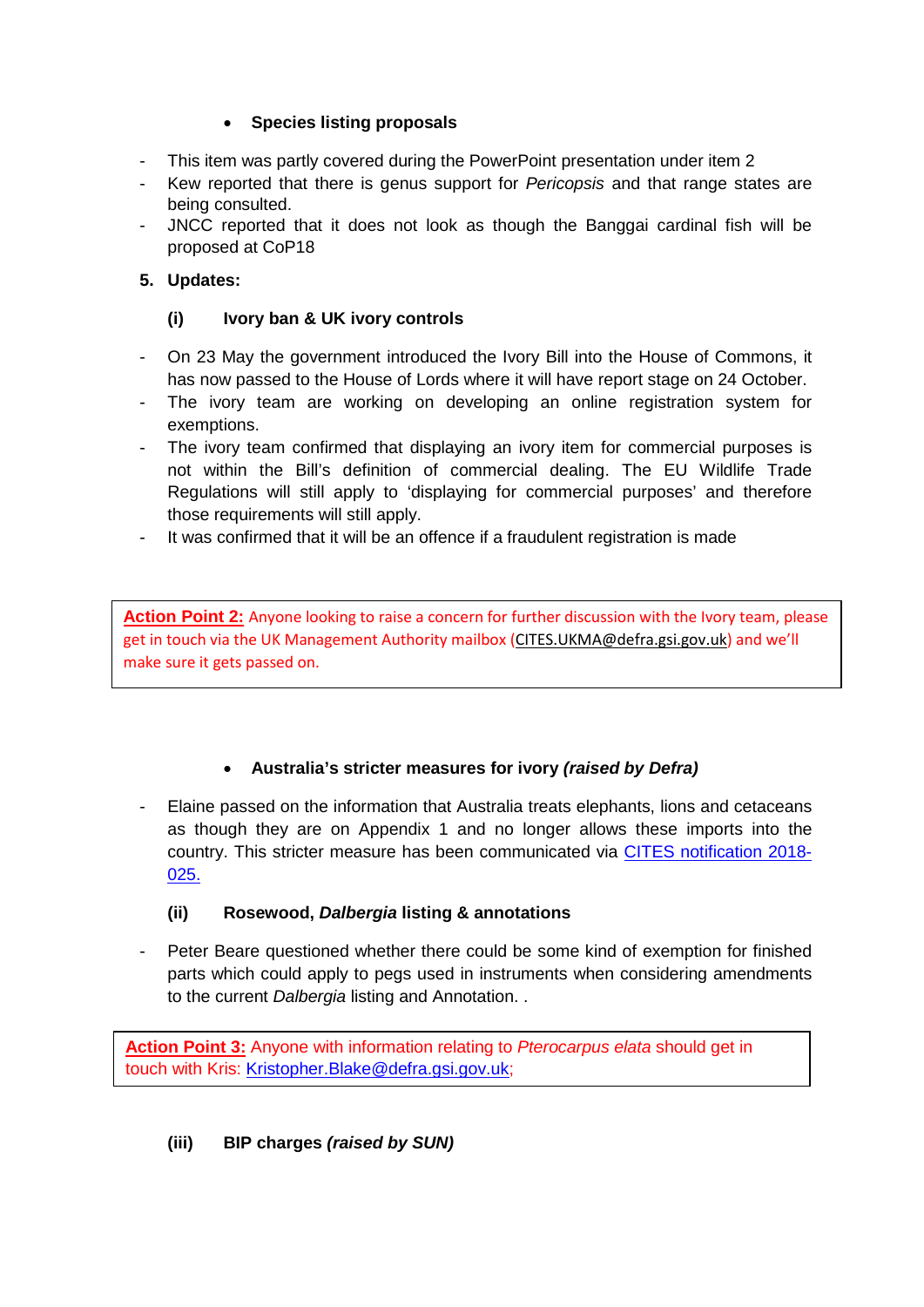#### • **Species listing proposals**

- This item was partly covered during the PowerPoint presentation under item 2
- Kew reported that there is genus support for *Pericopsis* and that range states are being consulted.
- JNCC reported that it does not look as though the Banggai cardinal fish will be proposed at CoP18

### **5. Updates:**

#### **(i) Ivory ban & UK ivory controls**

- On 23 May the government introduced the Ivory Bill into the House of Commons, it has now passed to the House of Lords where it will have report stage on 24 October.
- The ivory team are working on developing an online registration system for exemptions.
- The ivory team confirmed that displaying an ivory item for commercial purposes is not within the Bill's definition of commercial dealing. The EU Wildlife Trade Regulations will still apply to 'displaying for commercial purposes' and therefore those requirements will still apply.
- It was confirmed that it will be an offence if a fraudulent registration is made

**Action Point 2:** Anyone looking to raise a concern for further discussion with the Ivory team, please get in touch via the UK Management Authority mailbox [\(CITES.UKMA@defra.gsi.gov.uk\)](mailto:CITES.UKMA@defra.gsi.gov.uk) and we'll make sure it gets passed on.

#### • **Australia's stricter measures for ivory** *(raised by Defra)*

Elaine passed on the information that Australia treats elephants, lions and cetaceans as though they are on Appendix 1 and no longer allows these imports into the country. This stricter measure has been communicated via [CITES notification 2018-](https://cites.org/sites/default/files/notif/E-Notif-2018-025.pdf) [025.](https://cites.org/sites/default/files/notif/E-Notif-2018-025.pdf)

#### **(ii) Rosewood,** *Dalbergia* **listing & annotations**

- Peter Beare questioned whether there could be some kind of exemption for finished parts which could apply to pegs used in instruments when considering amendments to the current *Dalbergia* listing and Annotation. .

**Action Point 3:** Anyone with information relating to *Pterocarpus elata* should get in touch with Kris: [Kristopher.Blake@defra.gsi.gov.uk;](mailto:Kristopher.Blake@defra.gsi.gov.uk)

# **(iii) BIP charges** *(raised by SUN)*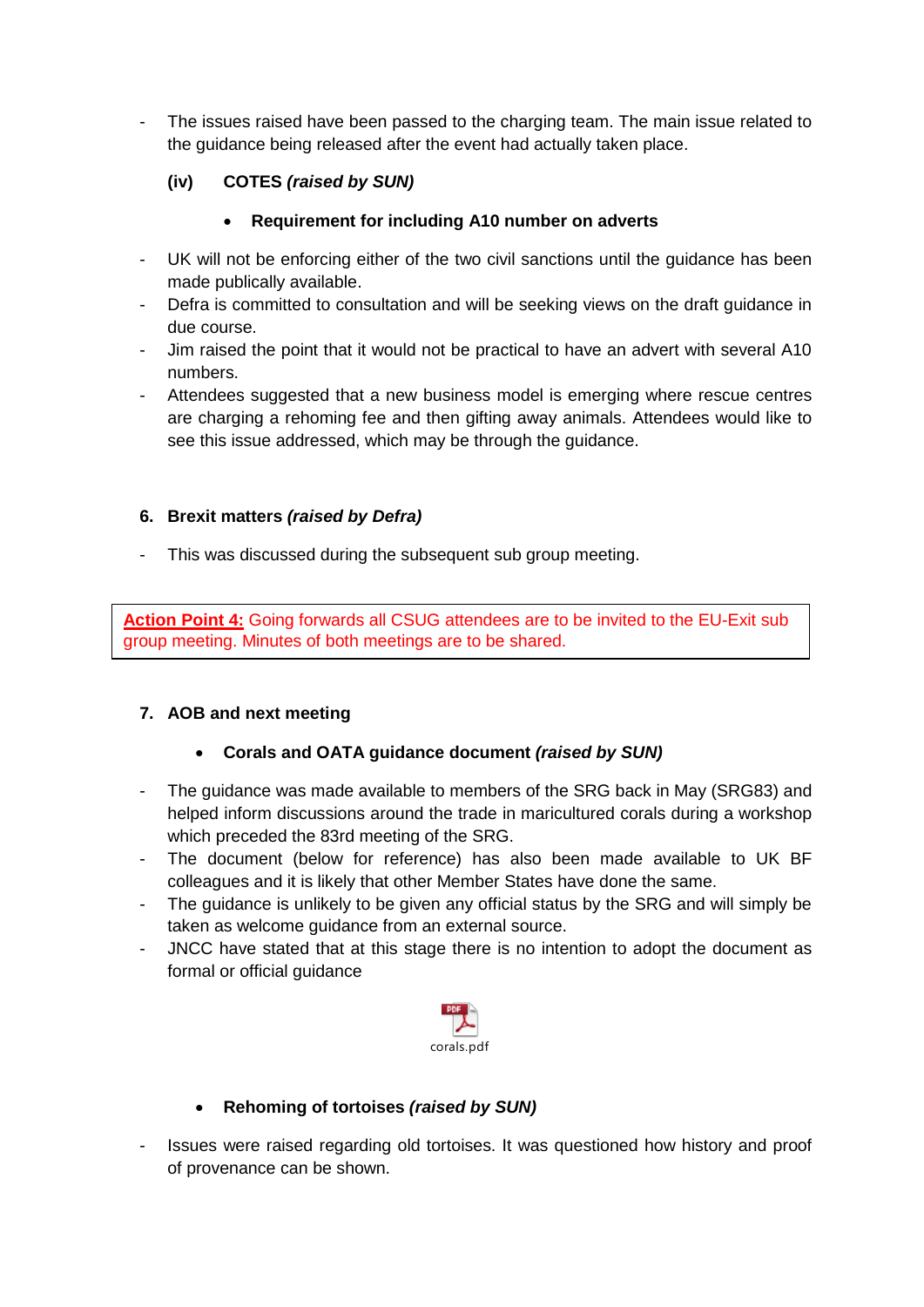The issues raised have been passed to the charging team. The main issue related to the guidance being released after the event had actually taken place.

# **(iv) COTES** *(raised by SUN)*

### • **Requirement for including A10 number on adverts**

- UK will not be enforcing either of the two civil sanctions until the guidance has been made publically available.
- Defra is committed to consultation and will be seeking views on the draft guidance in due course.
- Jim raised the point that it would not be practical to have an advert with several A10 numbers.
- Attendees suggested that a new business model is emerging where rescue centres are charging a rehoming fee and then gifting away animals. Attendees would like to see this issue addressed, which may be through the guidance.

### **6. Brexit matters** *(raised by Defra)*

This was discussed during the subsequent sub group meeting.

**Action Point 4:** Going forwards all CSUG attendees are to be invited to the EU-Exit sub group meeting. Minutes of both meetings are to be shared.

# **7. AOB and next meeting**

#### • **Corals and OATA guidance document** *(raised by SUN)*

- The guidance was made available to members of the SRG back in May (SRG83) and helped inform discussions around the trade in maricultured corals during a workshop which preceded the 83rd meeting of the SRG.
- The document (below for reference) has also been made available to UK BF colleagues and it is likely that other Member States have done the same.
- The guidance is unlikely to be given any official status by the SRG and will simply be taken as welcome guidance from an external source.
- JNCC have stated that at this stage there is no intention to adopt the document as formal or official guidance



# • **Rehoming of tortoises** *(raised by SUN)*

Issues were raised regarding old tortoises. It was questioned how history and proof of provenance can be shown.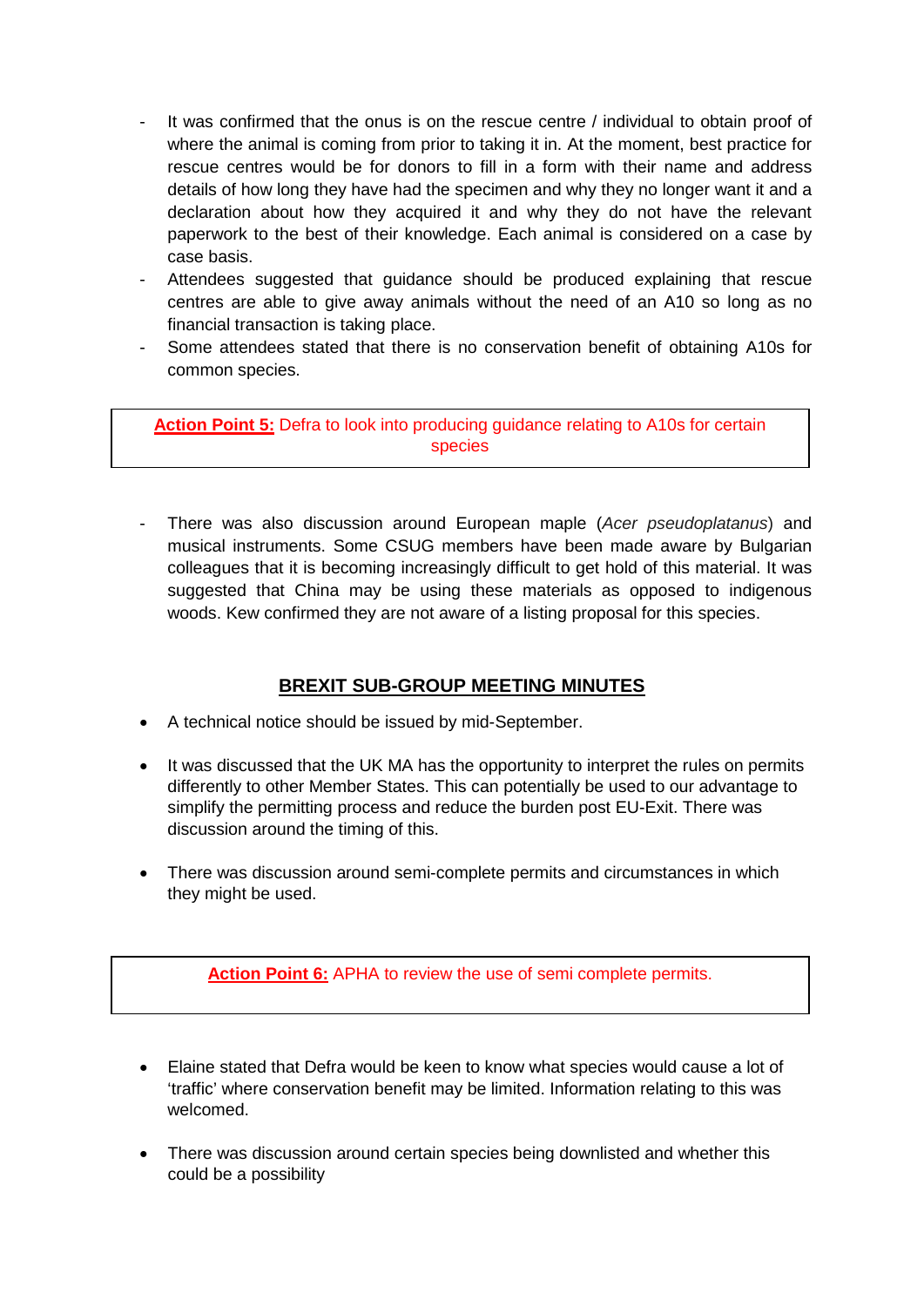- It was confirmed that the onus is on the rescue centre / individual to obtain proof of where the animal is coming from prior to taking it in. At the moment, best practice for rescue centres would be for donors to fill in a form with their name and address details of how long they have had the specimen and why they no longer want it and a declaration about how they acquired it and why they do not have the relevant paperwork to the best of their knowledge. Each animal is considered on a case by case basis.
- Attendees suggested that guidance should be produced explaining that rescue centres are able to give away animals without the need of an A10 so long as no financial transaction is taking place.
- Some attendees stated that there is no conservation benefit of obtaining A10s for common species.

**Action Point 5:** Defra to look into producing guidance relating to A10s for certain species

- There was also discussion around European maple (*Acer pseudoplatanus*) and musical instruments. Some CSUG members have been made aware by Bulgarian colleagues that it is becoming increasingly difficult to get hold of this material. It was suggested that China may be using these materials as opposed to indigenous woods. Kew confirmed they are not aware of a listing proposal for this species.

# **BREXIT SUB-GROUP MEETING MINUTES**

- A technical notice should be issued by mid-September.
- It was discussed that the UK MA has the opportunity to interpret the rules on permits differently to other Member States. This can potentially be used to our advantage to simplify the permitting process and reduce the burden post EU-Exit. There was discussion around the timing of this.
- There was discussion around semi-complete permits and circumstances in which they might be used.

**Action Point 6:** APHA to review the use of semi complete permits.

- Elaine stated that Defra would be keen to know what species would cause a lot of 'traffic' where conservation benefit may be limited. Information relating to this was welcomed.
- There was discussion around certain species being downlisted and whether this could be a possibility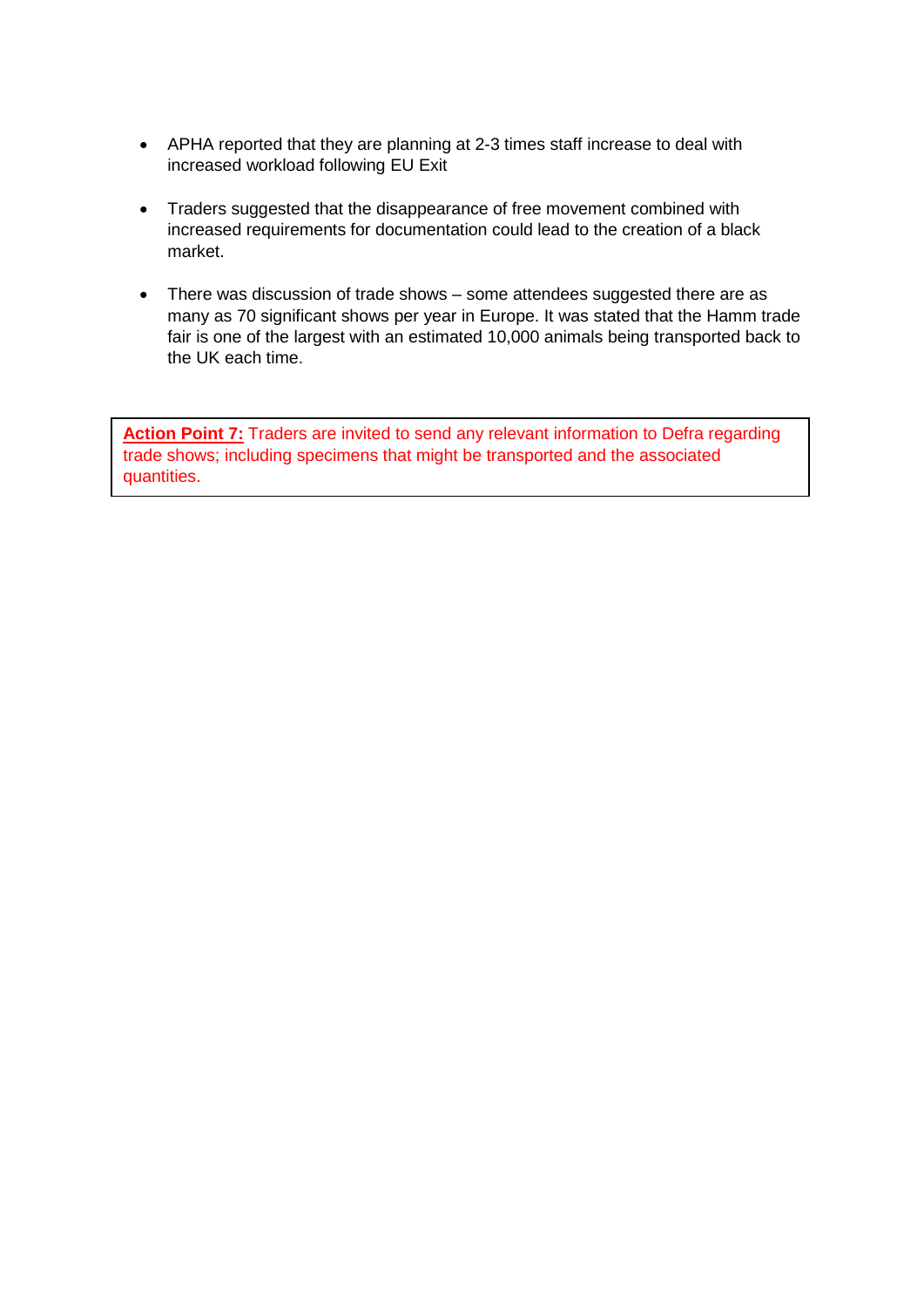- APHA reported that they are planning at 2-3 times staff increase to deal with increased workload following EU Exit
- Traders suggested that the disappearance of free movement combined with increased requirements for documentation could lead to the creation of a black market.
- There was discussion of trade shows some attendees suggested there are as many as 70 significant shows per year in Europe. It was stated that the Hamm trade fair is one of the largest with an estimated 10,000 animals being transported back to the UK each time.

**Action Point 7:** Traders are invited to send any relevant information to Defra regarding trade shows; including specimens that might be transported and the associated quantities.